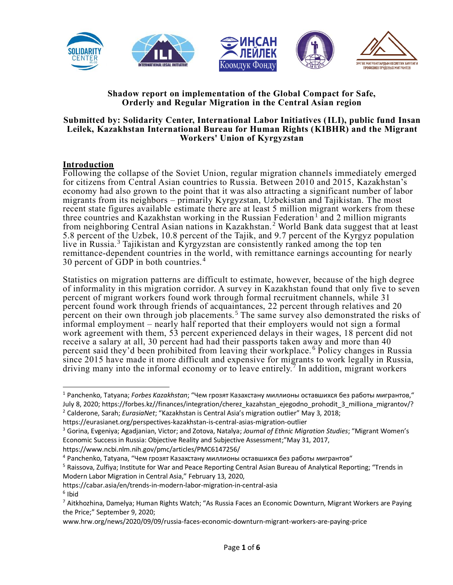

### **Shadow report on implementation of the Global Compact for Safe, Orderly and Regular Migration in the Central Asian region**

#### **Submitted by: Solidarity Center, International Labor Initiatives (ILI), public fund Insan Leilek, Kazakhstan International Bureau for Human Rights (KIBHR) and the Migrant Workers' Union of Kyrgyzstan**

### **Introduction**

Following the collapse of the Soviet Union, regular migration channels immediately emerged for citizens from Central Asian countries to Russia. Between 2010 and 2015, Kazakhstan's economy had also grown to the point that it was also attracting a significant number of labor migrants from its neighbors – primarily Kyrgyzstan, Uzbekistan and Tajikistan. The most recent state figures available estimate there are at least 5 million migrant workers from these three countries and Kazakhstan working in the Russian Federation<sup>1</sup> and 2 million migrants from neighboring Central Asian nations in Kazakhstan. <sup>2</sup> World Bank data suggest that at least 5.8 percent of the Uzbek, 10.8 percent of the Tajik, and 9.7 percent of the Kyrgyz population live in Russia.<sup>3</sup> Tajikistan and Kyrgyzstan are consistently ranked among the top ten remittance-dependent countries in the world, with remittance earnings accounting for nearly 30 percent of GDP in both countries.<sup>4</sup>

Statistics on migration patterns are difficult to estimate, however, because of the high degree of informality in this migration corridor. A survey in Kazakhstan found that only five to seven percent of migrant workers found work through formal recruitment channels, while 31 percent found work through friends of acquaintances, 22 percent through relatives and 20 percent on their own through job placements.<sup>5</sup> The same survey also demonstrated the risks of informal employment – nearly half reported that their employers would not sign a formal work agreement with them, 53 percent experienced delays in their wages, 18 percent did not receive a salary at all, 30 percent had had their passports taken away and more than 40 percent said they'd been prohibited from leaving their workplace. <sup>6</sup> Policy changes in Russia since 2015 have made it more difficult and expensive for migrants to work legally in Russia, driving many into the informal economy or to leave entirely.<sup>7</sup> In addition, migrant workers

https://www.ncbi.nlm.nih.gov/pmc/articles/PMC6147256/

https://cabar.asia/en/trends-in-modern-labor-migration-in-central-asia 6 Ibid

<sup>1</sup> Panchenko, Tatyana; *Forbes Kazakhstan*; "Чем грозят Казахстану миллионы оставшихся без работы мигрантов," July 8, 2020; https://forbes.kz//finances/integration/cherez\_kazahstan\_ejegodno\_prohodit\_3\_milliona\_migrantov/? <sup>2</sup> Calderone, Sarah; *EurasiaNet*; "Kazakhstan is Central Asia's migration outlier" May 3, 2018;

https://eurasianet.org/perspectives-kazakhstan-is-central-asias-migration-outlier

<sup>3</sup> Gorina, Evgeniya; Agadjanian, Victor; and Zotova, Natalya; *Journal of Ethnic Migration Studies*; "Migrant Women's Economic Success in Russia: Objective Reality and Subjective Assessment;"May 31, 2017,

<sup>4</sup> Panchenko, Tatyana, "Чем грозят Казахстану миллионы оставшихся без работы мигрантов"

<sup>5</sup> Raissova, Zulfiya; Institute for War and Peace Reporting Central Asian Bureau of Analytical Reporting; "Trends in Modern Labor Migration in Central Asia," February 13, 2020,

<sup>&</sup>lt;sup>7</sup> Aitkhozhina, Damelya; Human Rights Watch; "As Russia Faces an Economic Downturn, Migrant Workers are Paying the Price;" September 9, 2020;

www.hrw.org/news/2020/09/09/russia-faces-economic-downturn-migrant-workers-are-paying-price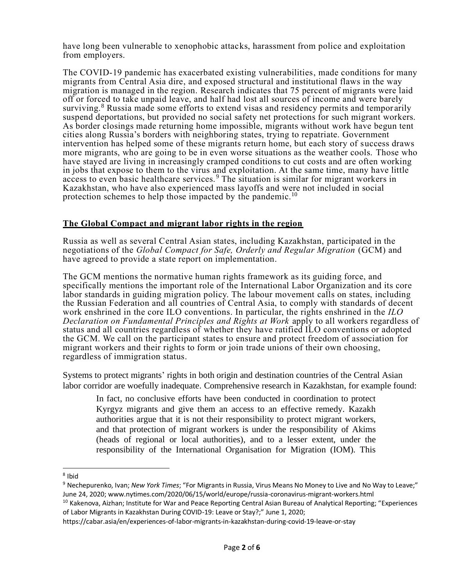have long been vulnerable to xenophobic attacks, harassment from police and exploitation from employers.

The COVID-19 pandemic has exacerbated existing vulnerabilities, made conditions for many migrants from Central Asia dire, and exposed structural and institutional flaws in the way migration is managed in the region. Research indicates that 75 percent of migrants were laid off or forced to take unpaid leave, and half had lost all sources of income and were barely surviving.<sup>8</sup> Russia made some efforts to extend visas and residency permits and tempor arily suspend deportations, but provided no social safety net protections for such migrant workers. As border closings made returning home impossible, migrants without work have begun tent cities along Russia's borders with neighboring states, trying to repatriate. Government intervention has helped some of these migrants return home, but each story of success draws more migrants, who are going to be in even worse situations as the weather cools. Those who have stayed are living in increasingly cramped conditions to cut costs and are often working in jobs that expose to them to the virus and exploitation. At the same time, many have little access to even basic healthcare services. <sup>9</sup> The situation is similar for migrant workers in Kazakhstan, who have also experienced mass layoffs and were not included in social protection schemes to help those impacted by the pandemic.<sup>10</sup>

## **The Global Compact and migrant labor rights in the region**

Russia as well as several Central Asian states, including Kazakhstan, participated in the negotiations of the *Global Compact for Safe, Orderly and Regular Migration* (GCM) and have agreed to provide a state report on implementation.

The GCM mentions the normative human rights framework as its guiding force, and specifically mentions the important role of the International Labor Organization and its core labor standards in guiding migration policy. The labour movement calls on states, including the Russian Federation and all countries of Central Asia, to comply with standards of decent work enshrined in the core ILO conventions. In particular, the rights enshrined in the *ILO Declaration on Fundamental Principles and Rights at Work* apply to all workers regardless of status and all countries regardless of whether they have ratified ILO conventions or adopted the GCM. We call on the participant states to ensure and protect freedom of association for migrant workers and their rights to form or join trade unions of their own choosing, regardless of immigration status.

Systems to protect migrants' rights in both origin and destination countries of the Central Asian labor corridor are woefully inadequate. Comprehensive research in Kazakhstan, for example found:

In fact, no conclusive efforts have been conducted in coordination to protect Kyrgyz migrants and give them an access to an effective remedy. Kazakh authorities argue that it is not their responsibility to protect migrant workers, and that protection of migrant workers is under the responsibility of Akims (heads of regional or local authorities), and to a lesser extent, under the responsibility of the International Organisation for Migration (IOM). This

<sup>&</sup>lt;sup>8</sup> Ibid

<sup>9</sup> Nechepurenko, Ivan; *New York Times*; "For Migrants in Russia, Virus Means No Money to Live and No Way to Leave;" June 24, 2020; www.nytimes.com/2020/06/15/world/europe/russia-coronavirus-migrant-workers.html

<sup>&</sup>lt;sup>10</sup> Kakenova, Aizhan; Institute for War and Peace Reporting Central Asian Bureau of Analytical Reporting; "Experiences of Labor Migrants in Kazakhstan During COVID-19: Leave or Stay?;" June 1, 2020;

https://cabar.asia/en/experiences-of-labor-migrants-in-kazakhstan-during-covid-19-leave-or-stay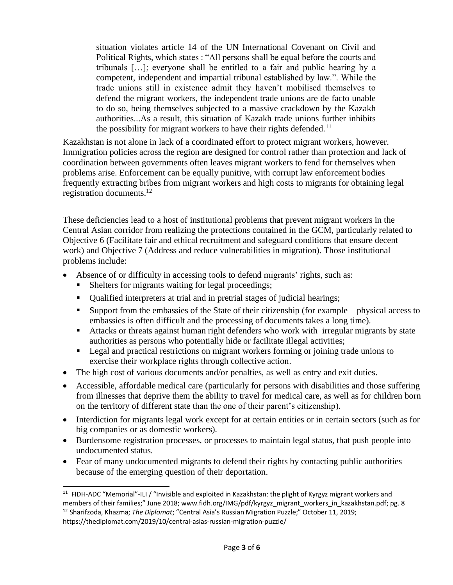situation violates article 14 of the UN International Covenant on Civil and Political Rights, which states : "All persons shall be equal before the courts and tribunals […]; everyone shall be entitled to a fair and public hearing by a competent, independent and impartial tribunal established by law.". While the trade unions still in existence admit they haven't mobilised themselves to defend the migrant workers, the independent trade unions are de facto unable to do so, being themselves subjected to a massive crackdown by the Kazakh authorities...As a result, this situation of Kazakh trade unions further inhibits the possibility for migrant workers to have their rights defended.<sup>11</sup>

Kazakhstan is not alone in lack of a coordinated effort to protect migrant workers, however. Immigration policies across the region are designed for control rather than protection and lack of coordination between governments often leaves migrant workers to fend for themselves when problems arise. Enforcement can be equally punitive, with corrupt law enforcement bodies frequently extracting bribes from migrant workers and high costs to migrants for obtaining legal registration documents.<sup>12</sup>

These deficiencies lead to a host of institutional problems that prevent migrant workers in the Central Asian corridor from realizing the protections contained in the GCM, particularly related to Objective 6 (Facilitate fair and ethical recruitment and safeguard conditions that ensure decent work) and Objective 7 (Address and reduce vulnerabilities in migration). Those institutional problems include:

- Absence of or difficulty in accessing tools to defend migrants' rights, such as:
	- Shelters for migrants waiting for legal proceedings;
	- Qualified interpreters at trial and in pretrial stages of judicial hearings;
	- Support from the embassies of the State of their citizenship (for example physical access to embassies is often difficult and the processing of documents takes a long time).
	- Attacks or threats against human right defenders who work with irregular migrants by state authorities as persons who potentially hide or facilitate illegal activities;
	- Legal and practical restrictions on migrant workers forming or joining trade unions to exercise their workplace rights through collective action.
- The high cost of various documents and/or penalties, as well as entry and exit duties.
- Accessible, affordable medical care (particularly for persons with disabilities and those suffering from illnesses that deprive them the ability to travel for medical care, as well as for children born on the territory of different state than the one of their parent's citizenship).
- Interdiction for migrants legal work except for at certain entities or in certain sectors (such as for big companies or as domestic workers).
- Burdensome registration processes, or processes to maintain legal status, that push people into undocumented status.
- Fear of many undocumented migrants to defend their rights by contacting public authorities because of the emerging question of their deportation.

<sup>&</sup>lt;sup>11</sup> FIDH-ADC "Memorial"-ILI / "Invisible and exploited in Kazakhstan: the plight of Kyrgyz migrant workers and members of their families;" June 2018; www.fidh.org/IMG/pdf/kyrgyz\_migrant\_workers\_in\_kazakhstan.pdf; pg. 8 <sup>12</sup> Sharifzoda, Khazma; *The Diplomat*; "Central Asia's Russian Migration Puzzle;" October 11, 2019;

https://thediplomat.com/2019/10/central-asias-russian-migration-puzzle/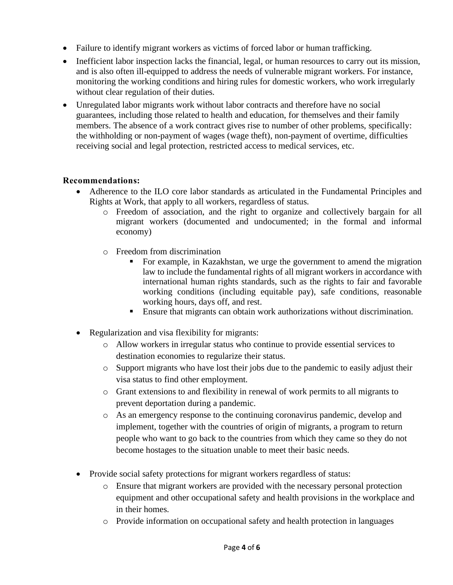- Failure to identify migrant workers as victims of forced labor or human trafficking.
- Inefficient labor inspection lacks the financial, legal, or human resources to carry out its mission, and is also often ill-equipped to address the needs of vulnerable migrant workers. For instance, monitoring the working conditions and hiring rules for domestic workers, who work irregularly without clear regulation of their duties.
- Unregulated labor migrants work without labor contracts and therefore have no social guarantees, including those related to health and education, for themselves and their family members. The absence of a work contract gives rise to number of other problems, specifically: the withholding or non-payment of wages (wage theft), non-payment of overtime, difficulties receiving social and legal protection, restricted access to medical services, etc.

# **Recommendations:**

- Adherence to the ILO core labor standards as articulated in the Fundamental Principles and Rights at Work, that apply to all workers, regardless of status.
	- o Freedom of association, and the right to organize and collectively bargain for all migrant workers (documented and undocumented; in the formal and informal economy)
	- o Freedom from discrimination
		- For example, in Kazakhstan, we urge the government to amend the migration law to include the fundamental rights of all migrant workers in accordance with international human rights standards, such as the rights to fair and favorable working conditions (including equitable pay), safe conditions, reasonable working hours, days off, and rest.
		- **Ensure that migrants can obtain work authorizations without discrimination.**
- Regularization and visa flexibility for migrants:
	- o Allow workers in irregular status who continue to provide essential services to destination economies to regularize their status.
	- o Support migrants who have lost their jobs due to the pandemic to easily adjust their visa status to find other employment.
	- o Grant extensions to and flexibility in renewal of work permits to all migrants to prevent deportation during a pandemic.
	- o As an emergency response to the continuing coronavirus pandemic, develop and implement, together with the countries of origin of migrants, a program to return people who want to go back to the countries from which they came so they do not become hostages to the situation unable to meet their basic needs.
- Provide social safety protections for migrant workers regardless of status:
	- o Ensure that migrant workers are provided with the necessary personal protection equipment and other occupational safety and health provisions in the workplace and in their homes.
	- o Provide information on occupational safety and health protection in languages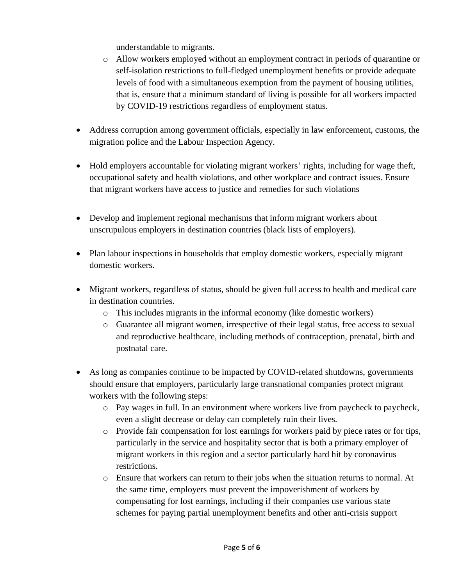understandable to migrants.

- o Allow workers employed without an employment contract in periods of quarantine or self-isolation restrictions to full-fledged unemployment benefits or provide adequate levels of food with a simultaneous exemption from the payment of housing utilities, that is, ensure that a minimum standard of living is possible for all workers impacted by COVID-19 restrictions regardless of employment status.
- Address corruption among government officials, especially in law enforcement, customs, the migration police and the Labour Inspection Agency.
- Hold employers accountable for violating migrant workers' rights, including for wage theft, occupational safety and health violations, and other workplace and contract issues. Ensure that migrant workers have access to justice and remedies for such violations
- Develop and implement regional mechanisms that inform migrant workers about unscrupulous employers in destination countries (black lists of employers).
- Plan labour inspections in households that employ domestic workers, especially migrant domestic workers.
- Migrant workers, regardless of status, should be given full access to health and medical care in destination countries.
	- o This includes migrants in the informal economy (like domestic workers)
	- o Guarantee all migrant women, irrespective of their legal status, free access to sexual and reproductive healthcare, including methods of contraception, prenatal, birth and postnatal care.
- As long as companies continue to be impacted by COVID-related shutdowns, governments should ensure that employers, particularly large transnational companies protect migrant workers with the following steps:
	- o Pay wages in full. In an environment where workers live from paycheck to paycheck, even a slight decrease or delay can completely ruin their lives.
	- o Provide fair compensation for lost earnings for workers paid by piece rates or for tips, particularly in the service and hospitality sector that is both a primary employer of migrant workers in this region and a sector particularly hard hit by coronavirus restrictions.
	- o Ensure that workers can return to their jobs when the situation returns to normal. At the same time, employers must prevent the impoverishment of workers by compensating for lost earnings, including if their companies use various state schemes for paying partial unemployment benefits and other anti-crisis support